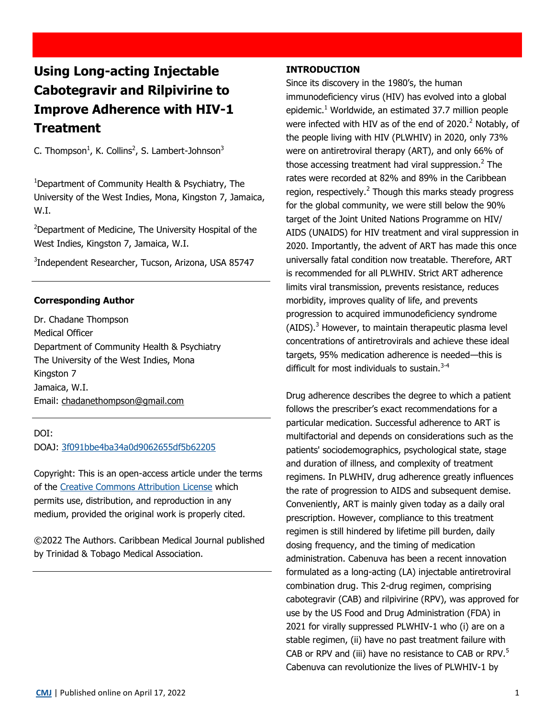# **Using Long-acting Injectable Cabotegravir and Rilpivirine to Improve Adherence with HIV-1 Treatment**

C. Thompson<sup>1</sup>, K. Collins<sup>2</sup>, S. Lambert-Johnson<sup>3</sup>

<sup>1</sup>Department of Community Health & Psychiatry, The University of the West Indies, Mona, Kingston 7, Jamaica, W.I.

<sup>2</sup>Department of Medicine, The University Hospital of the West Indies, Kingston 7, Jamaica, W.I.

3 Independent Researcher, Tucson, Arizona, USA 85747

## **Corresponding Author**

Dr. Chadane Thompson Medical Officer Department of Community Health & Psychiatry The University of the West Indies, Mona Kingston 7 Jamaica, W.I. Email: [chadanethompson@gmail.com](mailto:chadanethompson@gmail.com)

DOI: DOAJ: [3f091bbe4ba34a0d9062655df5b62205](https://doaj.org/article/3f091bbe4ba34a0d9062655df5b62205)

Copyright: This is an open-access article under the terms of the [Creative Commons Attribution License](https://creativecommons.org/licenses/by/4.0/) which permits use, distribution, and reproduction in any medium, provided the original work is properly cited.

©2022 The Authors. Caribbean Medical Journal published by Trinidad & Tobago Medical Association.

#### **INTRODUCTION**

Since its discovery in the 1980's, the human immunodeficiency virus (HIV) has evolved into a global epidemic.<sup>1</sup> Worldwide, an estimated 37.7 million people were infected with HIV as of the end of  $2020.<sup>2</sup>$  Notably, of the people living with HIV (PLWHIV) in 2020, only 73% were on antiretroviral therapy (ART), and only 66% of those accessing treatment had viral suppression.<sup>2</sup> The rates were recorded at 82% and 89% in the Caribbean region, respectively.<sup>2</sup> Though this marks steady progress for the global community, we were still below the 90% target of the Joint United Nations Programme on HIV/ AIDS (UNAIDS) for HIV treatment and viral suppression in 2020. Importantly, the advent of ART has made this once universally fatal condition now treatable. Therefore, ART is recommended for all PLWHIV. Strict ART adherence limits viral transmission, prevents resistance, reduces morbidity, improves quality of life, and prevents progression to acquired immunodeficiency syndrome  $(AIDS)$ .<sup>3</sup> However, to maintain therapeutic plasma level concentrations of antiretrovirals and achieve these ideal targets, 95% medication adherence is needed—this is difficult for most individuals to sustain. $3-4$ 

Drug adherence describes the degree to which a patient follows the prescriber's exact recommendations for a particular medication. Successful adherence to ART is multifactorial and depends on considerations such as the patients' sociodemographics, psychological state, stage and duration of illness, and complexity of treatment regimens. In PLWHIV, drug adherence greatly influences the rate of progression to AIDS and subsequent demise. Conveniently, ART is mainly given today as a daily oral prescription. However, compliance to this treatment regimen is still hindered by lifetime pill burden, daily dosing frequency, and the timing of medication administration. Cabenuva has been a recent innovation formulated as a long-acting (LA) injectable antiretroviral combination drug. This 2-drug regimen, comprising cabotegravir (CAB) and rilpivirine (RPV), was approved for use by the US Food and Drug Administration (FDA) in 2021 for virally suppressed PLWHIV-1 who (i) are on a stable regimen, (ii) have no past treatment failure with CAB or RPV and (iii) have no resistance to CAB or RPV.<sup>5</sup> Cabenuva can revolutionize the lives of PLWHIV-1 by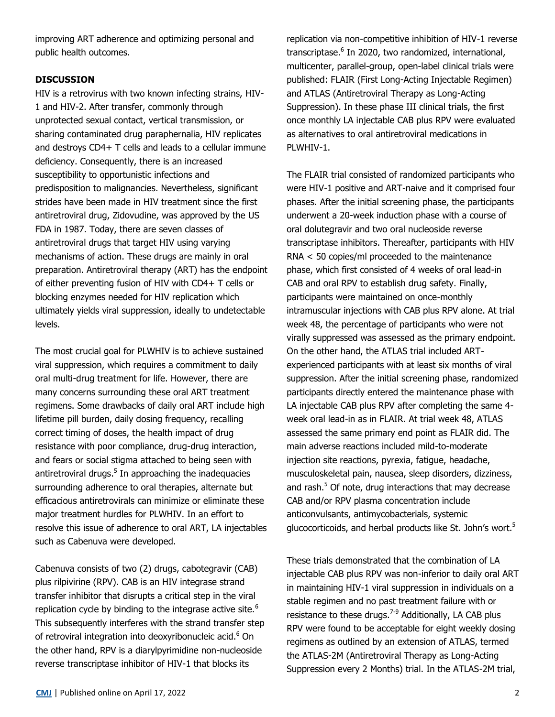improving ART adherence and optimizing personal and public health outcomes.

# **DISCUSSION**

HIV is a retrovirus with two known infecting strains, HIV-1 and HIV-2. After transfer, commonly through unprotected sexual contact, vertical transmission, or sharing contaminated drug paraphernalia, HIV replicates and destroys CD4+ T cells and leads to a cellular immune deficiency. Consequently, there is an increased susceptibility to opportunistic infections and predisposition to malignancies. Nevertheless, significant strides have been made in HIV treatment since the first antiretroviral drug, Zidovudine, was approved by the US FDA in 1987. Today, there are seven classes of antiretroviral drugs that target HIV using varying mechanisms of action. These drugs are mainly in oral preparation. Antiretroviral therapy (ART) has the endpoint of either preventing fusion of HIV with CD4+ T cells or blocking enzymes needed for HIV replication which ultimately yields viral suppression, ideally to undetectable levels.

The most crucial goal for PLWHIV is to achieve sustained viral suppression, which requires a commitment to daily oral multi-drug treatment for life. However, there are many concerns surrounding these oral ART treatment regimens. Some drawbacks of daily oral ART include high lifetime pill burden, daily dosing frequency, recalling correct timing of doses, the health impact of drug resistance with poor compliance, drug-drug interaction, and fears or social stigma attached to being seen with antiretroviral drugs.<sup>5</sup> In approaching the inadequacies surrounding adherence to oral therapies, alternate but efficacious antiretrovirals can minimize or eliminate these major treatment hurdles for PLWHIV. In an effort to resolve this issue of adherence to oral ART, LA injectables such as Cabenuva were developed.

Cabenuva consists of two (2) drugs, cabotegravir (CAB) plus rilpivirine (RPV). CAB is an HIV integrase strand transfer inhibitor that disrupts a critical step in the viral replication cycle by binding to the integrase active site. $6$ This subsequently interferes with the strand transfer step of retroviral integration into deoxyribonucleic acid.<sup>6</sup> On the other hand, RPV is a diarylpyrimidine non-nucleoside reverse transcriptase inhibitor of HIV-1 that blocks its

replication via non-competitive inhibition of HIV-1 reverse transcriptase.<sup>6</sup> In 2020, two randomized, international, multicenter, parallel-group, open-label clinical trials were published: FLAIR (First Long-Acting Injectable Regimen) and ATLAS (Antiretroviral Therapy as Long-Acting Suppression). In these phase III clinical trials, the first once monthly LA injectable CAB plus RPV were evaluated as alternatives to oral antiretroviral medications in PLWHIV-1.

The FLAIR trial consisted of randomized participants who were HIV-1 positive and ART-naive and it comprised four phases. After the initial screening phase, the participants underwent a 20-week induction phase with a course of oral dolutegravir and two oral nucleoside reverse transcriptase inhibitors. Thereafter, participants with HIV RNA < 50 copies/ml proceeded to the maintenance phase, which first consisted of 4 weeks of oral lead-in CAB and oral RPV to establish drug safety. Finally, participants were maintained on once-monthly intramuscular injections with CAB plus RPV alone. At trial week 48, the percentage of participants who were not virally suppressed was assessed as the primary endpoint. On the other hand, the ATLAS trial included ARTexperienced participants with at least six months of viral suppression. After the initial screening phase, randomized participants directly entered the maintenance phase with LA injectable CAB plus RPV after completing the same 4 week oral lead-in as in FLAIR. At trial week 48, ATLAS assessed the same primary end point as FLAIR did. The main adverse reactions included mild-to-moderate injection site reactions, pyrexia, fatigue, headache, musculoskeletal pain, nausea, sleep disorders, dizziness, and rash.<sup>5</sup> Of note, drug interactions that may decrease CAB and/or RPV plasma concentration include anticonvulsants, antimycobacterials, systemic glucocorticoids, and herbal products like St. John's wort.<sup>5</sup>

These trials demonstrated that the combination of LA injectable CAB plus RPV was non-inferior to daily oral ART in maintaining HIV-1 viral suppression in individuals on a stable regimen and no past treatment failure with or resistance to these drugs.<sup>7-9</sup> Additionally, LA CAB plus RPV were found to be acceptable for eight weekly dosing regimens as outlined by an extension of ATLAS, termed the ATLAS-2M (Antiretroviral Therapy as Long-Acting Suppression every 2 Months) trial. In the ATLAS-2M trial,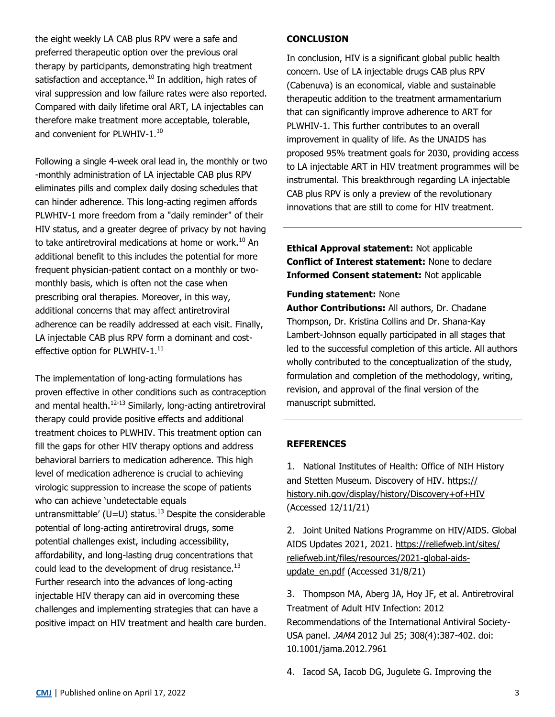the eight weekly LA CAB plus RPV were a safe and preferred therapeutic option over the previous oral therapy by participants, demonstrating high treatment satisfaction and acceptance. $10$  In addition, high rates of viral suppression and low failure rates were also reported. Compared with daily lifetime oral ART, LA injectables can therefore make treatment more acceptable, tolerable, and convenient for PLWHIV- $1.^{10}$ 

Following a single 4-week oral lead in, the monthly or two -monthly administration of LA injectable CAB plus RPV eliminates pills and complex daily dosing schedules that can hinder adherence. This long-acting regimen affords PLWHIV-1 more freedom from a "daily reminder" of their HIV status, and a greater degree of privacy by not having to take antiretroviral medications at home or work.<sup>10</sup> An additional benefit to this includes the potential for more frequent physician-patient contact on a monthly or twomonthly basis, which is often not the case when prescribing oral therapies. Moreover, in this way, additional concerns that may affect antiretroviral adherence can be readily addressed at each visit. Finally, LA injectable CAB plus RPV form a dominant and costeffective option for PLWHIV- $1.^{11}$ 

The implementation of long-acting formulations has proven effective in other conditions such as contraception and mental health.<sup>12-13</sup> Similarly, long-acting antiretroviral therapy could provide positive effects and additional treatment choices to PLWHIV. This treatment option can fill the gaps for other HIV therapy options and address behavioral barriers to medication adherence. This high level of medication adherence is crucial to achieving virologic suppression to increase the scope of patients who can achieve 'undetectable equals untransmittable' (U=U) status.<sup>13</sup> Despite the considerable potential of long-acting antiretroviral drugs, some potential challenges exist, including accessibility, affordability, and long-lasting drug concentrations that could lead to the development of drug resistance. $^{13}$ Further research into the advances of long-acting injectable HIV therapy can aid in overcoming these challenges and implementing strategies that can have a positive impact on HIV treatment and health care burden.

## **CONCLUSION**

In conclusion, HIV is a significant global public health concern. Use of LA injectable drugs CAB plus RPV (Cabenuva) is an economical, viable and sustainable therapeutic addition to the treatment armamentarium that can significantly improve adherence to ART for PLWHIV-1. This further contributes to an overall improvement in quality of life. As the UNAIDS has proposed 95% treatment goals for 2030, providing access to LA injectable ART in HIV treatment programmes will be instrumental. This breakthrough regarding LA injectable CAB plus RPV is only a preview of the revolutionary innovations that are still to come for HIV treatment.

**Ethical Approval statement:** Not applicable **Conflict of Interest statement:** None to declare **Informed Consent statement:** Not applicable

### **Funding statement:** None

**Author Contributions:** All authors, Dr. Chadane Thompson, Dr. Kristina Collins and Dr. Shana-Kay Lambert-Johnson equally participated in all stages that led to the successful completion of this article. All authors wholly contributed to the conceptualization of the study, formulation and completion of the methodology, writing, revision, and approval of the final version of the manuscript submitted.

## **REFERENCES**

1. National Institutes of Health: Office of NIH History and Stetten Museum. Discovery of HIV. [https://](https://history.nih.gov/display/history/Discovery+of+HIV) [history.nih.gov/display/history/Discovery+of+HIV](https://history.nih.gov/display/history/Discovery+of+HIV) (Accessed 12/11/21)

2. Joint United Nations Programme on HIV/AIDS. Global AIDS Updates 2021, 2021. [https://reliefweb.int/sites/](https://reliefweb.int/sites/reliefweb.int/files/resources/2021-global-aids-update_en.pdf) [reliefweb.int/files/resources/2021](https://reliefweb.int/sites/reliefweb.int/files/resources/2021-global-aids-update_en.pdf)-global-aids[update\\_en.pdf](https://reliefweb.int/sites/reliefweb.int/files/resources/2021-global-aids-update_en.pdf) (Accessed 31/8/21)

3. Thompson MA, Aberg JA, Hoy JF, et al. Antiretroviral Treatment of Adult HIV Infection: 2012 Recommendations of the International Antiviral Society-USA panel. JAMA 2012 Jul 25; 308(4):387-402. doi: 10.1001/jama.2012.7961

4. Iacod SA, Iacob DG, Jugulete G. Improving the